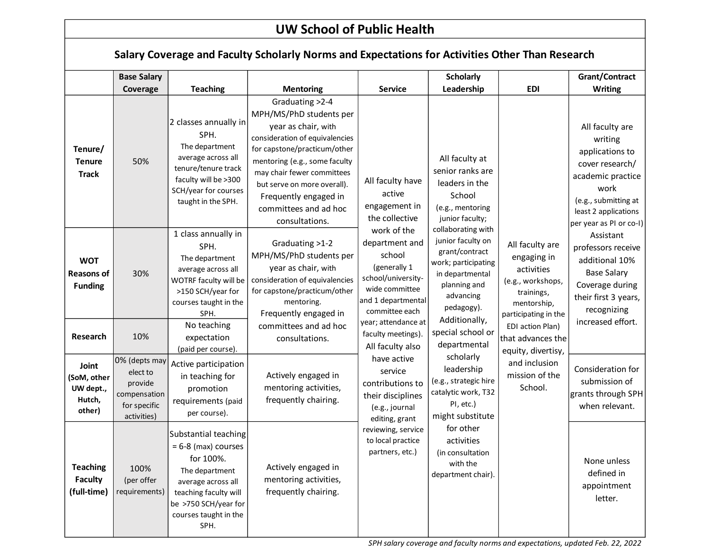## **UW School of Public Health**

| Salary Coverage and Faculty Scholarly Norms and Expectations for Activities Other Than Research |                                                                                     |                                                                                                                                                                                      |                                                                                                                                                                                                                                                                                                       |                                                                                                                                                                                                                                                                                                                                                                                                                                                |                                                                                                                                                                                                                                                                                                                                                                                                                                                                                                                                                                                                                                                                                                                                                   |                                                                                                                                                                          |                                                                                                                                   |
|-------------------------------------------------------------------------------------------------|-------------------------------------------------------------------------------------|--------------------------------------------------------------------------------------------------------------------------------------------------------------------------------------|-------------------------------------------------------------------------------------------------------------------------------------------------------------------------------------------------------------------------------------------------------------------------------------------------------|------------------------------------------------------------------------------------------------------------------------------------------------------------------------------------------------------------------------------------------------------------------------------------------------------------------------------------------------------------------------------------------------------------------------------------------------|---------------------------------------------------------------------------------------------------------------------------------------------------------------------------------------------------------------------------------------------------------------------------------------------------------------------------------------------------------------------------------------------------------------------------------------------------------------------------------------------------------------------------------------------------------------------------------------------------------------------------------------------------------------------------------------------------------------------------------------------------|--------------------------------------------------------------------------------------------------------------------------------------------------------------------------|-----------------------------------------------------------------------------------------------------------------------------------|
|                                                                                                 | <b>Base Salary</b>                                                                  |                                                                                                                                                                                      |                                                                                                                                                                                                                                                                                                       |                                                                                                                                                                                                                                                                                                                                                                                                                                                | <b>Scholarly</b>                                                                                                                                                                                                                                                                                                                                                                                                                                                                                                                                                                                                                                                                                                                                  |                                                                                                                                                                          | Grant/Contract                                                                                                                    |
|                                                                                                 | Coverage                                                                            | <b>Teaching</b>                                                                                                                                                                      | <b>Mentoring</b>                                                                                                                                                                                                                                                                                      | <b>Service</b>                                                                                                                                                                                                                                                                                                                                                                                                                                 | Leadership                                                                                                                                                                                                                                                                                                                                                                                                                                                                                                                                                                                                                                                                                                                                        | <b>EDI</b>                                                                                                                                                               | <b>Writing</b>                                                                                                                    |
| Tenure/<br><b>Tenure</b><br><b>Track</b>                                                        | 50%                                                                                 | 2 classes annually in<br>SPH.<br>The department<br>average across all<br>tenure/tenure track<br>faculty will be >300<br>SCH/year for courses<br>taught in the SPH.                   | Graduating >2-4<br>MPH/MS/PhD students per<br>year as chair, with<br>consideration of equivalencies<br>for capstone/practicum/other<br>mentoring (e.g., some faculty<br>may chair fewer committees<br>but serve on more overall).<br>Frequently engaged in<br>committees and ad hoc<br>consultations. | All faculty have<br>active<br>engagement in<br>the collective<br>work of the<br>department and<br>school<br>(generally 1<br>school/university-<br>wide committee<br>and 1 departmental<br>committee each<br>year; attendance at<br>faculty meetings).<br>All faculty also<br>have active<br>service<br>contributions to<br>their disciplines<br>(e.g., journal<br>editing, grant<br>reviewing, service<br>to local practice<br>partners, etc.) | All faculty at<br>senior ranks are<br>leaders in the<br>School<br>(e.g., mentoring<br>junior faculty;<br>collaborating with<br>junior faculty on<br>All faculty are<br>grant/contract<br>engaging in<br>work; participating<br>activities<br>in departmental<br>(e.g., workshops,<br>planning and<br>trainings,<br>advancing<br>mentorship,<br>pedagogy).<br>participating in the<br>Additionally,<br>EDI action Plan)<br>special school or<br>that advances the<br>departmental<br>equity, divertisy,<br>scholarly<br>and inclusion<br>leadership<br>mission of the<br>(e.g., strategic hire<br>School.<br>catalytic work, T32<br>PI, etc.)<br>might substitute<br>for other<br>activities<br>(in consultation<br>with the<br>department chair). | All faculty are<br>writing<br>applications to<br>cover research/<br>academic practice<br>work<br>(e.g., submitting at<br>least 2 applications<br>per year as PI or co-I) |                                                                                                                                   |
| <b>WOT</b><br><b>Reasons of</b><br><b>Funding</b>                                               | 30%                                                                                 | 1 class annually in<br>SPH.<br>The department<br>average across all<br>WOTRF faculty will be<br>>150 SCH/year for<br>courses taught in the<br>SPH.                                   | Graduating >1-2<br>MPH/MS/PhD students per<br>year as chair, with<br>consideration of equivalencies<br>for capstone/practicum/other<br>mentoring.<br>Frequently engaged in                                                                                                                            |                                                                                                                                                                                                                                                                                                                                                                                                                                                |                                                                                                                                                                                                                                                                                                                                                                                                                                                                                                                                                                                                                                                                                                                                                   |                                                                                                                                                                          | Assistant<br>professors receive<br>additional 10%<br><b>Base Salary</b><br>Coverage during<br>their first 3 years,<br>recognizing |
| Research                                                                                        | 10%                                                                                 | No teaching<br>expectation<br>(paid per course).                                                                                                                                     | committees and ad hoc<br>consultations.                                                                                                                                                                                                                                                               |                                                                                                                                                                                                                                                                                                                                                                                                                                                |                                                                                                                                                                                                                                                                                                                                                                                                                                                                                                                                                                                                                                                                                                                                                   |                                                                                                                                                                          | increased effort.                                                                                                                 |
| Joint<br>(SoM, other<br>UW dept.,<br>Hutch,<br>other)                                           | 0% (depts may<br>elect to<br>provide<br>compensation<br>for specific<br>activities) | Active participation<br>in teaching for<br>promotion<br>requirements (paid<br>per course).                                                                                           | Actively engaged in<br>mentoring activities,<br>frequently chairing.                                                                                                                                                                                                                                  |                                                                                                                                                                                                                                                                                                                                                                                                                                                |                                                                                                                                                                                                                                                                                                                                                                                                                                                                                                                                                                                                                                                                                                                                                   |                                                                                                                                                                          | Consideration for<br>submission of<br>grants through SPH<br>when relevant.                                                        |
| <b>Teaching</b><br><b>Faculty</b><br>(full-time)                                                | 100%<br>(per offer<br>requirements)                                                 | Substantial teaching<br>$= 6-8$ (max) courses<br>for 100%.<br>The department<br>average across all<br>teaching faculty will<br>be >750 SCH/year for<br>courses taught in the<br>SPH. | Actively engaged in<br>mentoring activities,<br>frequently chairing.                                                                                                                                                                                                                                  |                                                                                                                                                                                                                                                                                                                                                                                                                                                |                                                                                                                                                                                                                                                                                                                                                                                                                                                                                                                                                                                                                                                                                                                                                   |                                                                                                                                                                          | None unless<br>defined in<br>appointment<br>letter.                                                                               |

*SPH salary coverage and faculty norms and expectations, updated Feb. 22, 2022*